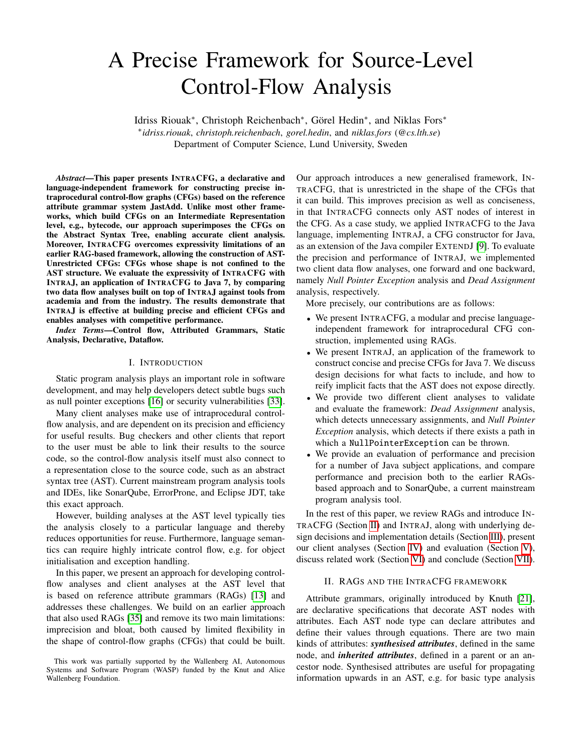# A Precise Framework for Source-Level Control-Flow Analysis

Idriss Riouak<sup>∗</sup> , Christoph Reichenbach<sup>∗</sup> , Görel Hedin<sup>∗</sup> , and Niklas Fors<sup>∗</sup> ∗ *idriss.riouak*, *christoph.reichenbach*, *gorel.hedin*, and *niklas.fors* (*@cs.lth.se*)

Department of Computer Science, Lund University, Sweden

*Abstract*—This paper presents INTRACFG, a declarative and language-independent framework for constructing precise intraprocedural control-flow graphs (CFGs) based on the reference attribute grammar system JastAdd. Unlike most other frameworks, which build CFGs on an Intermediate Representation level, e.g., bytecode, our approach superimposes the CFGs on the Abstract Syntax Tree, enabling accurate client analysis. Moreover, INTRACFG overcomes expressivity limitations of an earlier RAG-based framework, allowing the construction of AST-Unrestricted CFGs: CFGs whose shape is not confined to the AST structure. We evaluate the expressivity of INTRACFG with INTRAJ, an application of INTRACFG to Java 7, by comparing two data flow analyses built on top of INTRAJ against tools from academia and from the industry. The results demonstrate that INTRAJ is effective at building precise and efficient CFGs and enables analyses with competitive performance.

*Index Terms*—Control flow, Attributed Grammars, Static Analysis, Declarative, Dataflow.

## I. INTRODUCTION

Static program analysis plays an important role in software development, and may help developers detect subtle bugs such as null pointer exceptions [\[16\]](#page-10-0) or security vulnerabilities [\[33\]](#page-10-1).

Many client analyses make use of intraprocedural controlflow analysis, and are dependent on its precision and efficiency for useful results. Bug checkers and other clients that report to the user must be able to link their results to the source code, so the control-flow analysis itself must also connect to a representation close to the source code, such as an abstract syntax tree (AST). Current mainstream program analysis tools and IDEs, like SonarQube, ErrorProne, and Eclipse JDT, take this exact approach.

However, building analyses at the AST level typically ties the analysis closely to a particular language and thereby reduces opportunities for reuse. Furthermore, language semantics can require highly intricate control flow, e.g. for object initialisation and exception handling.

In this paper, we present an approach for developing controlflow analyses and client analyses at the AST level that is based on reference attribute grammars (RAGs) [\[13\]](#page-10-2) and addresses these challenges. We build on an earlier approach that also used RAGs [\[35\]](#page-10-3) and remove its two main limitations: imprecision and bloat, both caused by limited flexibility in the shape of control-flow graphs (CFGs) that could be built.

Our approach introduces a new generalised framework, IN-TRACFG, that is unrestricted in the shape of the CFGs that it can build. This improves precision as well as conciseness, in that INTRACFG connects only AST nodes of interest in the CFG. As a case study, we applied INTRACFG to the Java language, implementing INTRAJ, a CFG constructor for Java, as an extension of the Java compiler EXTENDJ [\[9\]](#page-10-4). To evaluate the precision and performance of INTRAJ, we implemented two client data flow analyses, one forward and one backward, namely *Null Pointer Exception* analysis and *Dead Assignment* analysis, respectively.

More precisely, our contributions are as follows:

- We present INTRACFG, a modular and precise languageindependent framework for intraprocedural CFG construction, implemented using RAGs.
- We present INTRAJ, an application of the framework to construct concise and precise CFGs for Java 7. We discuss design decisions for what facts to include, and how to reify implicit facts that the AST does not expose directly.
- We provide two different client analyses to validate and evaluate the framework: *Dead Assignment* analysis, which detects unnecessary assignments, and *Null Pointer Exception* analysis, which detects if there exists a path in which a NullPointerException can be thrown.
- We provide an evaluation of performance and precision for a number of Java subject applications, and compare performance and precision both to the earlier RAGsbased approach and to SonarQube, a current mainstream program analysis tool.

In the rest of this paper, we review RAGs and introduce IN-TRACFG (Section [II\)](#page-0-0) and INTRAJ, along with underlying design decisions and implementation details (Section [III\)](#page-3-0), present our client analyses (Section [IV\)](#page-6-0) and evaluation (Section [V\)](#page-7-0), discuss related work (Section [VI\)](#page-8-0) and conclude (Section [VII\)](#page-9-0).

## II. RAGS AND THE INTRACFG FRAMEWORK

<span id="page-0-0"></span>Attribute grammars, originally introduced by Knuth [\[21\]](#page-10-5), are declarative specifications that decorate AST nodes with attributes. Each AST node type can declare attributes and define their values through equations. There are two main kinds of attributes: *synthesised attributes*, defined in the same node, and *inherited attributes*, defined in a parent or an ancestor node. Synthesised attributes are useful for propagating information upwards in an AST, e.g. for basic type analysis

This work was partially supported by the Wallenberg AI, Autonomous Systems and Software Program (WASP) funded by the Knut and Alice Wallenberg Foundation.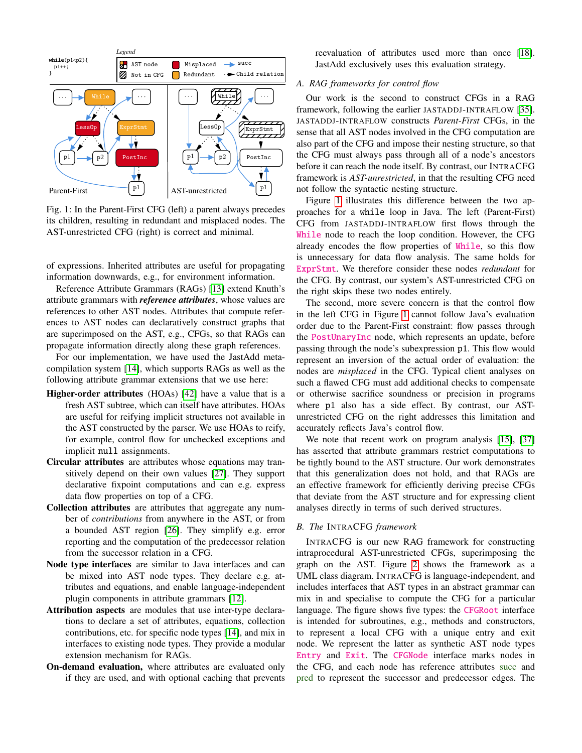<span id="page-1-0"></span>

Fig. 1: In the Parent-First CFG (left) a parent always precedes its children, resulting in redundant and misplaced nodes. The AST-unrestricted CFG (right) is correct and minimal.

of expressions. Inherited attributes are useful for propagating information downwards, e.g., for environment information.

Reference Attribute Grammars (RAGs) [\[13\]](#page-10-2) extend Knuth's attribute grammars with *reference attributes*, whose values are references to other AST nodes. Attributes that compute references to AST nodes can declaratively construct graphs that are superimposed on the AST, e.g., CFGs, so that RAGs can propagate information directly along these graph references.

For our implementation, we have used the JastAdd metacompilation system [\[14\]](#page-10-6), which supports RAGs as well as the following attribute grammar extensions that we use here:

- Higher-order attributes (HOAs) [\[42\]](#page-10-7) have a value that is a fresh AST subtree, which can itself have attributes. HOAs are useful for reifying implicit structures not available in the AST constructed by the parser. We use HOAs to reify, for example, control flow for unchecked exceptions and implicit null assignments.
- Circular attributes are attributes whose equations may transitively depend on their own values [\[27\]](#page-10-8). They support declarative fixpoint computations and can e.g. express data flow properties on top of a CFG.
- Collection attributes are attributes that aggregate any number of *contributions* from anywhere in the AST, or from a bounded AST region [\[26\]](#page-10-9). They simplify e.g. error reporting and the computation of the predecessor relation from the successor relation in a CFG.
- Node type interfaces are similar to Java interfaces and can be mixed into AST node types. They declare e.g. attributes and equations, and enable language-independent plugin components in attribute grammars [\[12\]](#page-10-10).
- Attribution aspects are modules that use inter-type declarations to declare a set of attributes, equations, collection contributions, etc. for specific node types [\[14\]](#page-10-6), and mix in interfaces to existing node types. They provide a modular extension mechanism for RAGs.
- On-demand evaluation, where attributes are evaluated only if they are used, and with optional caching that prevents

reevaluation of attributes used more than once [\[18\]](#page-10-11). JastAdd exclusively uses this evaluation strategy.

# *A. RAG frameworks for control flow*

Our work is the second to construct CFGs in a RAG framework, following the earlier JASTADDJ-INTRAFLOW [\[35\]](#page-10-3). JASTADDJ-INTRAFLOW constructs *Parent-First* CFGs, in the sense that all AST nodes involved in the CFG computation are also part of the CFG and impose their nesting structure, so that the CFG must always pass through all of a node's ancestors before it can reach the node itself. By contrast, our INTRACFG framework is *AST-unrestricted*, in that the resulting CFG need not follow the syntactic nesting structure.

Figure [1](#page-1-0) illustrates this difference between the two approaches for a while loop in Java. The left (Parent-First) CFG from JASTADDJ-INTRAFLOW first flows through the While node to reach the loop condition. However, the CFG already encodes the flow properties of While, so this flow is unnecessary for data flow analysis. The same holds for ExprStmt. We therefore consider these nodes *redundant* for the CFG. By contrast, our system's AST-unrestricted CFG on the right skips these two nodes entirely.

The second, more severe concern is that the control flow in the left CFG in Figure [1](#page-1-0) cannot follow Java's evaluation order due to the Parent-First constraint: flow passes through the PostUnaryInc node, which represents an update, before passing through the node's subexpression p1. This flow would represent an inversion of the actual order of evaluation: the nodes are *misplaced* in the CFG. Typical client analyses on such a flawed CFG must add additional checks to compensate or otherwise sacrifice soundness or precision in programs where p1 also has a side effect. By contrast, our ASTunrestricted CFG on the right addresses this limitation and accurately reflects Java's control flow.

We note that recent work on program analysis [\[15\]](#page-10-12), [\[37\]](#page-10-13) has asserted that attribute grammars restrict computations to be tightly bound to the AST structure. Our work demonstrates that this generalization does not hold, and that RAGs are an effective framework for efficiently deriving precise CFGs that deviate from the AST structure and for expressing client analyses directly in terms of such derived structures.

# *B. The* INTRACFG *framework*

INTRACFG is our new RAG framework for constructing intraprocedural AST-unrestricted CFGs, superimposing the graph on the AST. Figure [2](#page-2-0) shows the framework as a UML class diagram. INTRACFG is language-independent, and includes interfaces that AST types in an abstract grammar can mix in and specialise to compute the CFG for a particular language. The figure shows five types: the CFGRoot interface is intended for subroutines, e.g., methods and constructors, to represent a local CFG with a unique entry and exit node. We represent the latter as synthetic AST node types Entry and Exit. The CFGNode interface marks nodes in the CFG, and each node has reference attributes succ and pred to represent the successor and predecessor edges. The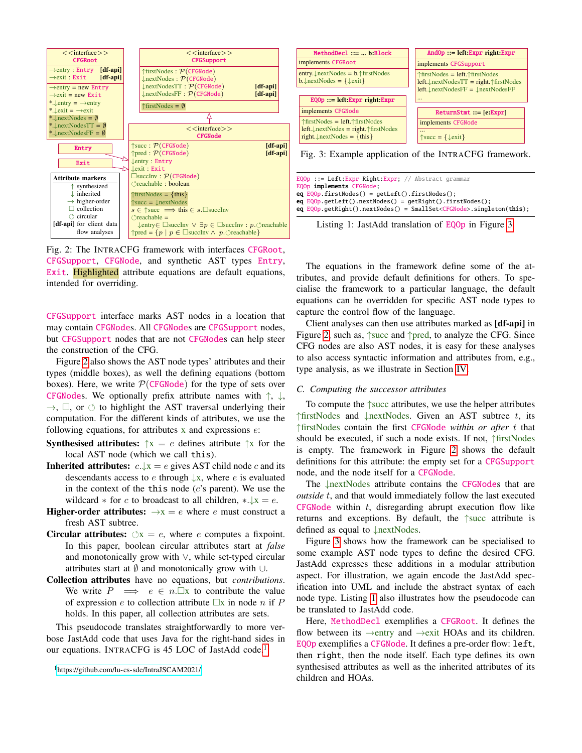<span id="page-2-0"></span>

Fig. 2: The INTRACFG framework with interfaces CFGRoot, CFGSupport, CFGNode, and synthetic AST types Entry, Exit. Highlighted attribute equations are default equations, intended for overriding.

CFGSupport interface marks AST nodes in a location that may contain CFGNodes. All CFGNodes are CFGSupport nodes, but CFGSupport nodes that are not CFGNodes can help steer the construction of the CFG.

Figure [2](#page-2-0) also shows the AST node types' attributes and their types (middle boxes), as well the defining equations (bottom boxes). Here, we write  $P(\text{CFGNode})$  for the type of sets over CFGNodes. We optionally prefix attribute names with  $\uparrow$ ,  $\downarrow$ ,  $\rightarrow$ ,  $\Box$ , or  $\circ$  to highlight the AST traversal underlying their computation. For the different kinds of attributes, we use the following equations, for attributes  $x$  and expressions  $e$ :

- **Synthesised attributes:**  $\uparrow x = e$  defines attribute  $\uparrow x$  for the local AST node (which we call this).
- **Inherited attributes:**  $c.\downarrow x = e$  gives AST child node c and its descendants access to e through  $\downarrow x$ , where e is evaluated in the context of the this node  $(c's$  parent). We use the wildcard  $*$  for c to broadcast to all children,  $*.\downarrow x = e$ .
- **Higher-order attributes:**  $\rightarrow x = e$  where e must construct a fresh AST subtree.
- **Circular attributes:**  $\Diamond x = e$ , where e computes a fixpoint. In this paper, boolean circular attributes start at *false* and monotonically grow with ∨, while set-typed circular attributes start at  $\emptyset$  and monotonically grow with ∪.
- Collection attributes have no equations, but *contributions*. We write  $P \implies e \in n$ .  $\Box x$  to contribute the value of expression e to collection attribute  $\Box x$  in node n if P holds. In this paper, all collection attributes are sets.

This pseudocode translates straightforwardly to more verbose JastAdd code that uses Java for the right-hand sides in our equations. INTRACFG is 45 LOC of JastAdd code.<sup>[1](#page-2-1)</sup>

<span id="page-2-1"></span><sup>1</sup><https://github.com/lu-cs-sde/IntraJSCAM2021/>

<span id="page-2-2"></span>

Fig. 3: Example application of the INTRACFG framework.

<span id="page-2-3"></span>EQOp ::= Left:Expr Right:Expr; // Abstract grammar EQOp implements CFGNode; eq EQOp.firstNodes() = getLeft().firstNodes(); eq EQOp.getLeft().nextNodes() = getRight().firstNodes(); eq EQOp.getRight().nextNodes() = SmallSet<CFGNode>.singleton(this);

Listing 1: JastAdd translation of EQOp in Figure [3.](#page-2-2)

The equations in the framework define some of the attributes, and provide default definitions for others. To specialise the framework to a particular language, the default equations can be overridden for specific AST node types to capture the control flow of the language.

Client analyses can then use attributes marked as [df-api] in Figure [2,](#page-2-0) such as, ↑succ and ↑pred, to analyze the CFG. Since CFG nodes are also AST nodes, it is easy for these analyses to also access syntactic information and attributes from, e.g., type analysis, as we illustrate in Section [IV.](#page-6-0)

#### *C. Computing the successor attributes*

To compute the ↑succ attributes, we use the helper attributes  $\frac{1}{s}$  TfirstNodes and  $\frac{1}{s}$  nextNodes. Given an AST subtree t, its ↑firstNodes contain the first CFGNode *within or after* t that should be executed, if such a node exists. If not, ↑firstNodes is empty. The framework in Figure [2](#page-2-0) shows the default definitions for this attribute: the empty set for a CFGSupport node, and the node itself for a CFGNode.

The ↓nextNodes attribute contains the CFGNodes that are *outside* t, and that would immediately follow the last executed CFGNode within  $t$ , disregarding abrupt execution flow like returns and exceptions. By default, the ↑succ attribute is defined as equal to ↓nextNodes.

Figure [3](#page-2-2) shows how the framework can be specialised to some example AST node types to define the desired CFG. JastAdd expresses these additions in a modular attribution aspect. For illustration, we again encode the JastAdd specification into UML and include the abstract syntax of each node type. Listing [1](#page-2-3) also illustrates how the pseudocode can be translated to JastAdd code.

Here, MethodDecl exemplifies a CFGRoot. It defines the flow between its  $\rightarrow$ entry and  $\rightarrow$ exit HOAs and its children. EQOp exemplifies a CFGNode. It defines a pre-order flow: left, then right, then the node itself. Each type defines its own synthesised attributes as well as the inherited attributes of its children and HOAs.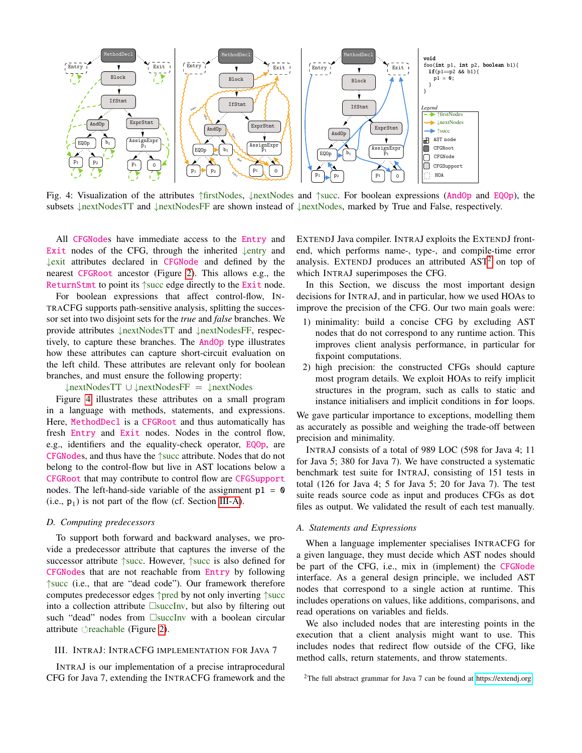<span id="page-3-1"></span>

Fig. 4: Visualization of the attributes ↑firstNodes, ↓nextNodes and ↑succ. For boolean expressions (AndOp and EQOp), the subsets ↓nextNodesTT and ↓nextNodesFF are shown instead of ↓nextNodes, marked by True and False, respectively.

All CFGNodes have immediate access to the Entry and Exit nodes of the CFG, through the inherited ↓entry and ↓exit attributes declared in CFGNode and defined by the nearest CFGRoot ancestor (Figure [2\)](#page-2-0). This allows e.g., the ReturnStmt to point its ↑succ edge directly to the Exit node.

For boolean expressions that affect control-flow, IN-TRACFG supports path-sensitive analysis, splitting the successor set into two disjoint sets for the *true* and *false* branches. We provide attributes ↓nextNodesTT and ↓nextNodesFF, respectively, to capture these branches. The AndOp type illustrates how these attributes can capture short-circuit evaluation on the left child. These attributes are relevant only for boolean branches, and must ensure the following property:

↓nextNodesTT ∪ ↓nextNodesFF = ↓nextNodes

Figure [4](#page-3-1) illustrates these attributes on a small program in a language with methods, statements, and expressions. Here, MethodDecl is a CFGRoot and thus automatically has fresh Entry and Exit nodes. Nodes in the control flow, e.g., identifiers and the equality-check operator, EQOp, are CFGNodes, and thus have the ↑succ attribute. Nodes that do not belong to the control-flow but live in AST locations below a CFGRoot that may contribute to control flow are CFGSupport nodes. The left-hand-side variable of the assignment  $p1 = 0$  $(i.e., p<sub>1</sub>)$  is not part of the flow (cf. Section [III-A\)](#page-3-2).

# *D. Computing predecessors*

To support both forward and backward analyses, we provide a predecessor attribute that captures the inverse of the successor attribute ↑succ. However, ↑succ is also defined for CFGNodes that are not reachable from Entry by following ↑succ (i.e., that are "dead code"). Our framework therefore computes predecessor edges ↑pred by not only inverting ↑succ into a collection attribute  $\square$ succInv, but also by filtering out such "dead" nodes from  $\square$ succInv with a boolean circular attribute  $\gamma$  reachable (Figure [2\)](#page-2-0).

## <span id="page-3-0"></span>III. INTRAJ: INTRACFG IMPLEMENTATION FOR JAVA 7

INTRAJ is our implementation of a precise intraprocedural CFG for Java 7, extending the INTRACFG framework and the EXTENDJ Java compiler. INTRAJ exploits the EXTENDJ frontend, which performs name-, type-, and compile-time error analysis. EXTENDJ produces an attributed  $AST<sup>2</sup>$  $AST<sup>2</sup>$  $AST<sup>2</sup>$  on top of which INTRAJ superimposes the CFG.

In this Section, we discuss the most important design decisions for INTRAJ, and in particular, how we used HOAs to improve the precision of the CFG. Our two main goals were:

- 1) minimality: build a concise CFG by excluding AST nodes that do not correspond to any runtime action. This improves client analysis performance, in particular for fixpoint computations.
- 2) high precision: the constructed CFGs should capture most program details. We exploit HOAs to reify implicit structures in the program, such as calls to static and instance initialisers and implicit conditions in for loops.

We gave particular importance to exceptions, modelling them as accurately as possible and weighing the trade-off between precision and minimality.

INTRAJ consists of a total of 989 LOC (598 for Java 4; 11 for Java 5; 380 for Java 7). We have constructed a systematic benchmark test suite for INTRAJ, consisting of 151 tests in total (126 for Java 4; 5 for Java 5; 20 for Java 7). The test suite reads source code as input and produces CFGs as dot files as output. We validated the result of each test manually.

# <span id="page-3-2"></span>*A. Statements and Expressions*

When a language implementer specialises INTRACFG for a given language, they must decide which AST nodes should be part of the CFG, i.e., mix in (implement) the CFGNode interface. As a general design principle, we included AST nodes that correspond to a single action at runtime. This includes operations on values, like additions, comparisons, and read operations on variables and fields.

We also included nodes that are interesting points in the execution that a client analysis might want to use. This includes nodes that redirect flow outside of the CFG, like method calls, return statements, and throw statements.

<span id="page-3-3"></span><sup>&</sup>lt;sup>2</sup>The full abstract grammar for Java 7 can be found at<https://extendj.org>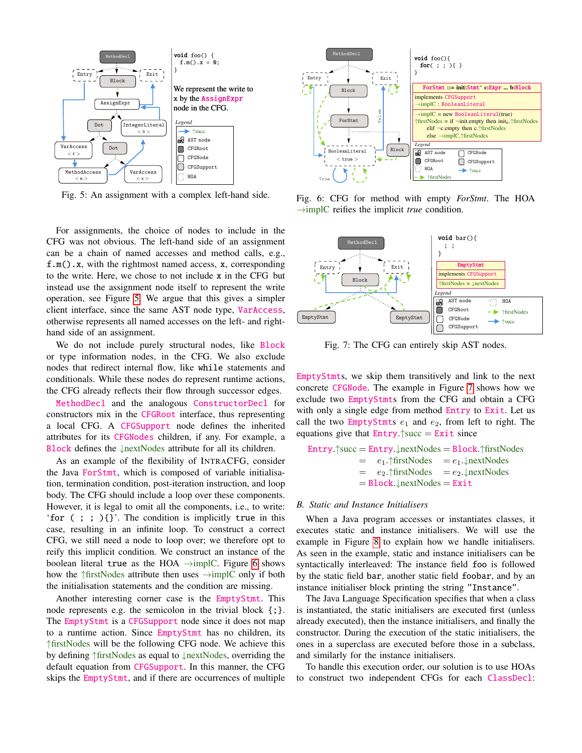<span id="page-4-0"></span>

Fig. 5: An assignment with a complex left-hand side.

For assignments, the choice of nodes to include in the CFG was not obvious. The left-hand side of an assignment can be a chain of named accesses and method calls, e.g., f.m().x, with the rightmost named access, x, corresponding to the write. Here, we chose to not include x in the CFG but instead use the assignment node itself to represent the write operation, see Figure [5.](#page-4-0) We argue that this gives a simpler client interface, since the same AST node type, VarAccess, otherwise represents all named accesses on the left- and righthand side of an assignment.

We do not include purely structural nodes, like Block or type information nodes, in the CFG. We also exclude nodes that redirect internal flow, like while statements and conditionals. While these nodes do represent runtime actions, the CFG already reflects their flow through successor edges.

MethodDecl and the analogous ConstructorDecl for constructors mix in the CFGRoot interface, thus representing a local CFG. A CFGSupport node defines the inherited attributes for its CFGNodes children, if any. For example, a Block defines the ↓nextNodes attribute for all its children.

As an example of the flexibility of INTRACFG, consider the Java ForStmt, which is composed of variable initialisation, termination condition, post-iteration instruction, and loop body. The CFG should include a loop over these components. However, it is legal to omit all the components, i.e., to write: 'for ( ; ; ){}'. The condition is implicitly true in this case, resulting in an infinite loop. To construct a correct CFG, we still need a node to loop over; we therefore opt to reify this implicit condition. We construct an instance of the boolean literal true as the HOA  $\rightarrow$ implC. Figure [6](#page-4-1) shows how the  $\frac{f \cdot f}{f}$  how the  $\frac{f \cdot f}{f}$  attribute then uses  $\rightarrow$ implC only if both the initialisation statements and the condition are missing.

Another interesting corner case is the EmptyStmt. This node represents e.g. the semicolon in the trivial block  $\{\cdot\}$ . The EmptyStmt is a CFGSupport node since it does not map to a runtime action. Since EmptyStmt has no children, its ↑firstNodes will be the following CFG node. We achieve this by defining ↑firstNodes as equal to ↓nextNodes, overriding the default equation from CFGSupport. In this manner, the CFG skips the EmptyStmt, and if there are occurrences of multiple

<span id="page-4-1"></span>

Fig. 6: CFG for method with empty *ForStmt*. The HOA →implC reifies the implicit *true* condition.

<span id="page-4-2"></span>

Fig. 7: The CFG can entirely skip AST nodes.

EmptyStmts, we skip them transitively and link to the next concrete CFGNode. The example in Figure [7](#page-4-2) shows how we exclude two EmptyStmts from the CFG and obtain a CFG with only a single edge from method Entry to Exit. Let us call the two EmptyStmts  $e_1$  and  $e_2$ , from left to right. The equations give that  $Entry \text{``succ} = Exist \text{ since}$ 

Entry. 
$$
\uparrow
$$
 succ = Entry.  $\downarrow$  nextNodes = Block.  $\uparrow$  firstNodes =  $e_1$ .  $\uparrow$  firstNodes =  $e_1$ .  $\downarrow$  nextNodes =  $e_2$ .  $\uparrow$  firstNodes =  $e_2$ .  $\downarrow$  nextNodes = Block.  $\downarrow$  nextNodes =Exit

#### *B. Static and Instance Initialisers*

When a Java program accesses or instantiates classes, it executes static and instance initialisers. We will use the example in Figure [8](#page-5-0) to explain how we handle initialisers. As seen in the example, static and instance initialisers can be syntactically interleaved: The instance field foo is followed by the static field bar, another static field foobar, and by an instance initialiser block printing the string "Instance".

The Java Language Specification specifies that when a class is instantiated, the static initialisers are executed first (unless already executed), then the instance initialisers, and finally the constructor. During the execution of the static initialisers, the ones in a superclass are executed before those in a subclass, and similarly for the instance initialisers.

To handle this execution order, our solution is to use HOAs to construct two independent CFGs for each ClassDecl: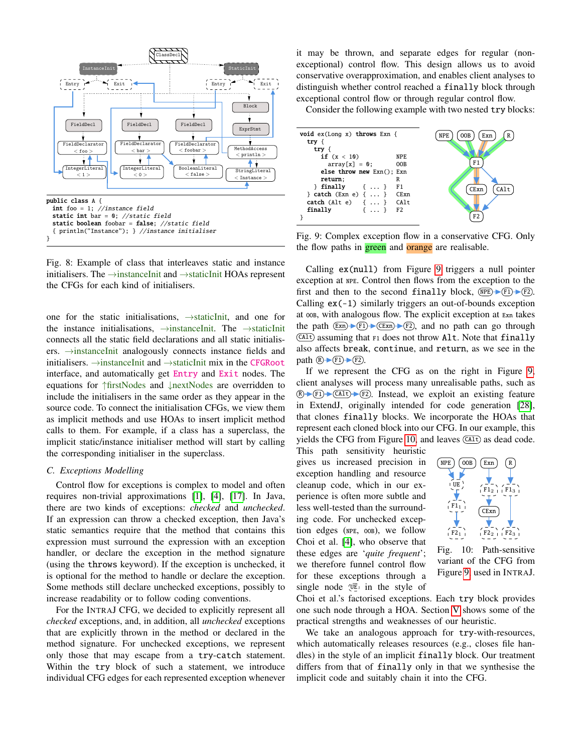<span id="page-5-0"></span>

Fig. 8: Example of class that interleaves static and instance initialisers. The →instanceInit and →staticInit HOAs represent the CFGs for each kind of initialisers.

one for the static initialisations, →staticInit, and one for the instance initialisations, →instanceInit. The →staticInit connects all the static field declarations and all static initialisers. →instanceInit analogously connects instance fields and initialisers. →instanceInit and →staticInit mix in the CFGRoot interface, and automatically get Entry and Exit nodes. The equations for ↑firstNodes and ↓nextNodes are overridden to include the initialisers in the same order as they appear in the source code. To connect the initialisation CFGs, we view them as implicit methods and use HOAs to insert implicit method calls to them. For example, if a class has a superclass, the implicit static/instance initialiser method will start by calling the corresponding initialiser in the superclass.

# <span id="page-5-3"></span>*C. Exceptions Modelling*

Control flow for exceptions is complex to model and often requires non-trivial approximations [\[1\]](#page-10-14), [\[4\]](#page-10-15), [\[17\]](#page-10-16). In Java, there are two kinds of exceptions: *checked* and *unchecked*. If an expression can throw a checked exception, then Java's static semantics require that the method that contains this expression must surround the expression with an exception handler, or declare the exception in the method signature (using the throws keyword). If the exception is unchecked, it is optional for the method to handle or declare the exception. Some methods still declare unchecked exceptions, possibly to increase readability or to follow coding conventions.

For the INTRAJ CFG, we decided to explicitly represent all *checked* exceptions, and, in addition, all *unchecked* exceptions that are explicitly thrown in the method or declared in the method signature. For unchecked exceptions, we represent only those that may escape from a try-catch statement. Within the try block of such a statement, we introduce individual CFG edges for each represented exception whenever it may be thrown, and separate edges for regular (nonexceptional) control flow. This design allows us to avoid conservative overapproximation, and enables client analyses to distinguish whether control reached a finally block through exceptional control flow or through regular control flow.

Consider the following example with two nested try blocks:

<span id="page-5-1"></span>

Fig. 9: Complex exception flow in a conservative CFG. Only the flow paths in **green** and **orange** are realisable.

Calling ex(null) from Figure [9](#page-5-1) triggers a null pointer exception at NPE. Control then flows from the exception to the first and then to the second finally block,  $(\overline{NPE}) \rightarrow (F1) \rightarrow (F2)$ . Calling  $ex(-1)$  similarly triggers an out-of-bounds exception at OOB, with analogous flow. The explicit exception at Exn takes the path  $(\text{Exn}) \rightarrow (\text{Exn}) \rightarrow (\text{Exn})$ , and no path can go through  $($  $($ Alt) assuming that  $F1$  does not throw Alt. Note that finally also affects break, continue, and return, as we see in the path  $\mathbb{R}$   $\rightarrow$   $\mathbb{F}$ 1  $\rightarrow$   $\mathbb{F}$ 2.

If we represent the CFG as on the right in Figure [9,](#page-5-1) client analyses will process many unrealisable paths, such as  $(R + F1)$   $(R + F2)$ . Instead, we exploit an existing feature in ExtendJ, originally intended for code generation [\[28\]](#page-10-17), that clones finally blocks. We incorporate the HOAs that represent each cloned block into our CFG. In our example, this yields the CFG from Figure [10,](#page-5-2) and leaves  $(ALt)$  as dead code.

This path sensitivity heuristic gives us increased precision in exception handling and resource cleanup code, which in our experience is often more subtle and less well-tested than the surrounding code. For unchecked exception edges (NPE, OOB), we follow Choi et al. [\[4\]](#page-10-15), who observe that these edges are '*quite frequent*'; we therefore funnel control flow for these exceptions through a single node  $\overline{UE}$  in the style of

<span id="page-5-2"></span>

Fig. 10: Path-sensitive variant of the CFG from Figure [9,](#page-5-1) used in INTRAJ.

Choi et al.'s factorised exceptions. Each try block provides one such node through a HOA. Section [V](#page-7-0) shows some of the practical strengths and weaknesses of our heuristic.

We take an analogous approach for try-with-resources, which automatically releases resources (e.g., closes file handles) in the style of an implicit finally block. Our treatment differs from that of finally only in that we synthesise the implicit code and suitably chain it into the CFG.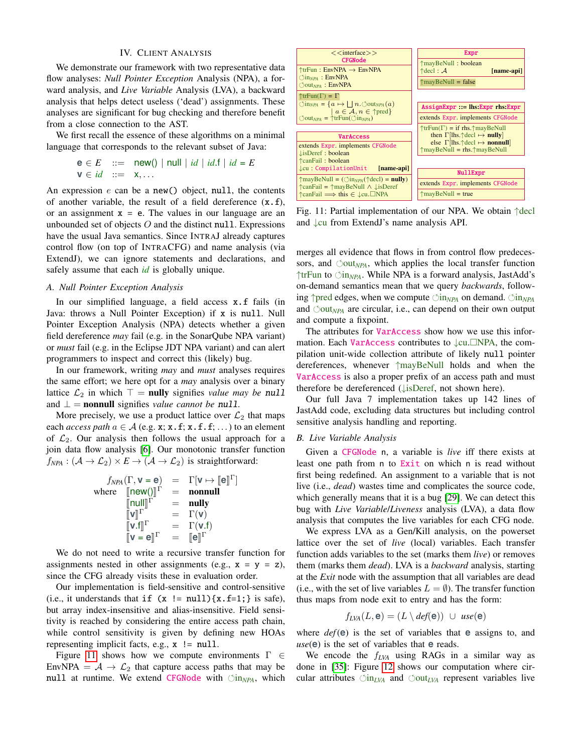# IV. CLIENT ANALYSIS

<span id="page-6-0"></span>We demonstrate our framework with two representative data flow analyses: *Null Pointer Exception* Analysis (NPA), a forward analysis, and *Live Variable* Analysis (LVA), a backward analysis that helps detect useless ('dead') assignments. These analyses are significant for bug checking and therefore benefit from a close connection to the AST.

We first recall the essence of these algorithms on a minimal language that corresponds to the relevant subset of Java:

$$
\mathbf{e} \in E \quad ::= \quad \text{new}() \mid \text{null} \mid id \mid id \text{.} \text{if} \mid id = E
$$
\n
$$
\mathbf{v} \in id \quad ::= \quad \mathbf{x}, \dots
$$

An expression  $e$  can be a new() object, null, the contents of another variable, the result of a field dereference  $(x.f)$ , or an assignment  $x = e$ . The values in our language are an unbounded set of objects  $O$  and the distinct null. Expressions have the usual Java semantics. Since INTRAJ already captures control flow (on top of INTRACFG) and name analysis (via ExtendJ), we can ignore statements and declarations, and safely assume that each *id* is globally unique.

#### *A. Null Pointer Exception Analysis*

In our simplified language, a field access x.f fails (in Java: throws a Null Pointer Exception) if x is null. Null Pointer Exception Analysis (NPA) detects whether a given field dereference *may* fail (e.g. in the SonarQube NPA variant) or *must* fail (e.g. in the Eclipse JDT NPA variant) and can alert programmers to inspect and correct this (likely) bug.

In our framework, writing *may* and *must* analyses requires the same effort; we here opt for a *may* analysis over a binary lattice  $\mathcal{L}_2$  in which  $\top = \text{null}$  signifies *value may be* null and  $\perp$  = **nonnull** signifies *value cannot be null.* 

More precisely, we use a product lattice over  $\mathcal{L}_2$  that maps each *access path*  $a \in A$  (e.g. **x**; **x** . **f**; **x** . **f**, **f**; ...) to an element of  $\mathcal{L}_2$ . Our analysis then follows the usual approach for a join data flow analysis [\[6\]](#page-10-18). Our monotonic transfer function  $f_{NPA}$  :  $(A \to \mathcal{L}_2) \times E \to (A \to \mathcal{L}_2)$  is straightforward:

$$
f_{NPA}(\Gamma, \mathbf{v} = \mathbf{e}) = \Gamma[\mathbf{v} \mapsto [\mathbf{e}]\Gamma]
$$
  
where  $[\text{new}()]\Gamma$  = **nonnull**  
 $[\text{null}]\Gamma$  = **null**  
 $[\mathbf{v}]\Gamma$  =  $\Gamma(\mathbf{v})$   
 $[\mathbf{v} \cdot \mathbf{f}]\Gamma$  =  $\Gamma(\mathbf{v} \cdot \mathbf{f})$   
 $[\mathbf{v} \cdot \mathbf{f}]\Gamma$  =  $\Gamma(\mathbf{v} \cdot \mathbf{f})$   
 $[\mathbf{v} = \mathbf{e}]\Gamma$  =  $[\mathbf{e}]\Gamma$ 

We do not need to write a recursive transfer function for assignments nested in other assignments (e.g.,  $x = y = z$ ), since the CFG already visits these in evaluation order.

Our implementation is field-sensitive and control-sensitive (i.e., it understands that if  $(x := null)$  {x.f=1; } is safe), but array index-insensitive and alias-insensitive. Field sensitivity is reached by considering the entire access path chain, while control sensitivity is given by defining new HOAs representing implicit facts, e.g., x != null.

Figure [11](#page-6-1) shows how we compute environments  $\Gamma \in$ EnvNPA =  $A \rightarrow \mathcal{L}_2$  that capture access paths that may be null at runtime. We extend CFGNode with  $\Diamond$ in<sub>NPA</sub>, which

<span id="page-6-1"></span>

Fig. 11: Partial implementation of our NPA. We obtain ↑decl and ↓cu from ExtendJ's name analysis API.

merges all evidence that flows in from control flow predecessors, and  $\Diamond$ out<sub>*NPA*</sub>, which applies the local transfer function ↑trFun to in*NPA*. While NPA is a forward analysis, JastAdd's on-demand semantics mean that we query *backwards*, following ↑pred edges, when we compute  $\circlearrowleft$ in<sub>NPA</sub> on demand.  $\circlearrowleft$ in<sub>NPA</sub> and  $\circlearrowleft_{NPA}$  are circular, i.e., can depend on their own output and compute a fixpoint.

The attributes for **VarAccess** show how we use this information. Each VarAccess contributes to ↓cu. NPA, the compilation unit-wide collection attribute of likely null pointer dereferences, whenever ↑mayBeNull holds and when the VarAccess is also a proper prefix of an access path and must therefore be dereferenced (↓isDeref, not shown here).

Our full Java 7 implementation takes up 142 lines of JastAdd code, excluding data structures but including control sensitive analysis handling and reporting.

#### <span id="page-6-2"></span>*B. Live Variable Analysis*

Given a CFGNode n, a variable is *live* iff there exists at least one path from n to Exit on which n is read without first being redefined. An assignment to a variable that is not live (i.e., *dead*) wastes time and complicates the source code, which generally means that it is a bug [\[29\]](#page-10-19). We can detect this bug with *Live Variable*/*Liveness* analysis (LVA), a data flow analysis that computes the live variables for each CFG node.

We express LVA as a Gen/Kill analysis, on the powerset lattice over the set of *live* (local) variables. Each transfer function adds variables to the set (marks them *live*) or removes them (marks them *dead*). LVA is a *backward* analysis, starting at the *Exit* node with the assumption that all variables are dead (i.e., with the set of live variables  $L = \emptyset$ ). The transfer function thus maps from node exit to entry and has the form:

$$
f_{LVA}(L, \mathbf{e}) = (L \setminus def(\mathbf{e})) \cup \text{use}(\mathbf{e})
$$

where *def*(**e**) is the set of variables that **e** assigns to, and *use*(**e**) is the set of variables that **e** reads.

We encode the f*LVA* using RAGs in a similar way as done in [\[35\]](#page-10-3): Figure [12](#page-7-1) shows our computation where circular attributes  $\Diamond$ in<sub>LVA</sub> and  $\Diamond$ out<sub>LVA</sub> represent variables live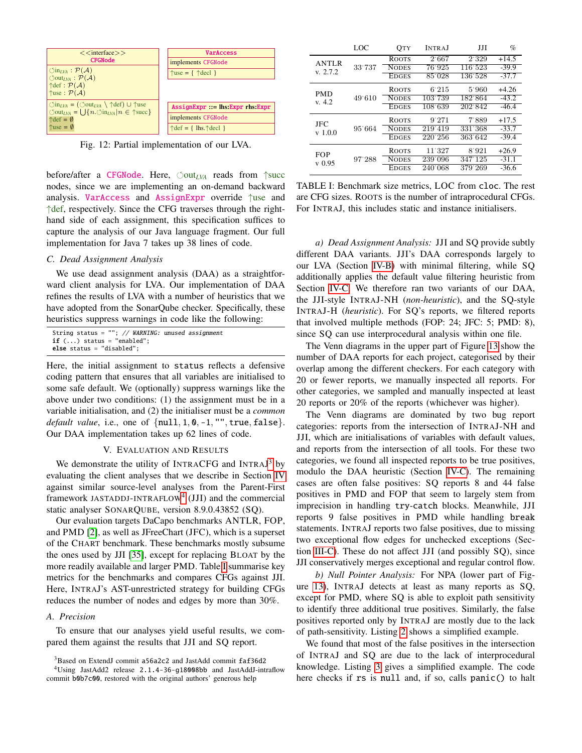<span id="page-7-1"></span>

Fig. 12: Partial implementation of our LVA.

before/after a CFGNode. Here,  $\circlearrowleft$ out<sub>LVA</sub> reads from  $\uparrow$ succ nodes, since we are implementing an on-demand backward analysis. VarAccess and AssignExpr override ↑use and ↑def, respectively. Since the CFG traverses through the righthand side of each assignment, this specification suffices to capture the analysis of our Java language fragment. Our full implementation for Java 7 takes up 38 lines of code.

#### <span id="page-7-5"></span>*C. Dead Assignment Analysis*

We use dead assignment analysis (DAA) as a straightforward client analysis for LVA. Our implementation of DAA refines the results of LVA with a number of heuristics that we have adopted from the SonarQube checker. Specifically, these heuristics suppress warnings in code like the following:

| String status = $""$ ; // WARNING: unused assignment |  |
|------------------------------------------------------|--|
| $if ()$ status = "enabled";                          |  |
| else status = "disabled";                            |  |

Here, the initial assignment to status reflects a defensive coding pattern that ensures that all variables are initialised to some safe default. We (optionally) suppress warnings like the above under two conditions: (1) the assignment must be in a variable initialisation, and (2) the initialiser must be a *common default value*, i.e., one of {null, 1, 0, -1, "", true, false}. Our DAA implementation takes up 62 lines of code.

#### V. EVALUATION AND RESULTS

<span id="page-7-0"></span>We demonstrate the utility of INTRACFG and INTRAJ<sup>[3](#page-7-2)</sup> by evaluating the client analyses that we describe in Section [IV](#page-6-0) against similar source-level analyses from the Parent-First framework JASTADDJ-INTRAFLOW<sup>[4](#page-7-3)</sup> (JJI) and the commercial static analyser SONARQUBE, version 8.9.0.43852 (SQ).

Our evaluation targets DaCapo benchmarks ANTLR, FOP, and PMD [\[2\]](#page-10-20), as well as JFreeChart (JFC), which is a superset of the CHART benchmark. These benchmarks mostly subsume the ones used by JJI [\[35\]](#page-10-3), except for replacing BLOAT by the more readily available and larger PMD. Table [I](#page-7-4) summarise key metrics for the benchmarks and compares CFGs against JJI. Here, INTRAJ's AST-unrestricted strategy for building CFGs reduces the number of nodes and edges by more than 30%.

## *A. Precision*

To ensure that our analyses yield useful results, we compared them against the results that JJI and SQ report.

<span id="page-7-3"></span><span id="page-7-2"></span><sup>3</sup>Based on ExtendJ commit a56a2c2 and JastAdd commit faf36d2 <sup>4</sup>Using JastAdd2 release 2.1.4-36-g18008bb and JastAddJ-intraflow

commit b0b7c00, restored with the original authors' generous help

<span id="page-7-4"></span>

|                          | LOC    | <b>OTY</b>   | <b>INTRAI</b>        | IJІ     | %       |
|--------------------------|--------|--------------|----------------------|---------|---------|
| <b>ANTLR</b><br>v. 2.7.2 |        | <b>ROOTS</b> | 2667                 | 2.329   | $+14.5$ |
|                          | 33.737 | <b>NODES</b> | 76 925               | 116 523 | $-39.9$ |
|                          |        | <b>EDGES</b> | 85.028               | 136 528 | $-37.7$ |
| <b>PMD</b><br>v. 4.2     | 49.610 | <b>ROOTS</b> | 6.215                | 5.960   | $+4.26$ |
|                          |        | <b>NODES</b> | 103.739              | 182.864 | $-43.2$ |
|                          |        | <b>EDGES</b> | $\overline{108}$ 639 | 202.842 | $-46.4$ |
| JFC<br>$v$ 1.0.0         | 95 664 | <b>ROOTS</b> | 9.271                | 7.889   | $+17.5$ |
|                          |        | <b>NODES</b> | 219.419              | 331 368 | $-33.7$ |
|                          |        | <b>EDGES</b> | 220'256              | 363.642 | $-39.4$ |
| <b>FOP</b><br>$v$ 0.95   |        | <b>ROOTS</b> | 11:327               | 8.921   | $+26.9$ |
|                          | 97.288 | <b>NODES</b> | 239 096              | 347.125 | $-31.1$ |
|                          |        | <b>EDGES</b> | 240.068              | 379.269 | $-36.6$ |

TABLE I: Benchmark size metrics, LOC from cloc. The rest are CFG sizes. ROOTS is the number of intraprocedural CFGs. For INTRAJ, this includes static and instance initialisers.

*a) Dead Assignment Analysis:* JJI and SQ provide subtly different DAA variants. JJI's DAA corresponds largely to our LVA (Section [IV-B\)](#page-6-2) with minimal filtering, while SQ additionally applies the default value filtering heuristic from Section [IV-C.](#page-7-5) We therefore ran two variants of our DAA, the JJI-style INTRAJ-NH (*non-heuristic*), and the SQ-style INTRAJ-H (*heuristic*). For SQ's reports, we filtered reports that involved multiple methods (FOP: 24; JFC: 5; PMD: 8), since SQ can use interprocedural analysis within one file.

The Venn diagrams in the upper part of Figure [13](#page-8-1) show the number of DAA reports for each project, categorised by their overlap among the different checkers. For each category with 20 or fewer reports, we manually inspected all reports. For other categories, we sampled and manually inspected at least 20 reports or 20% of the reports (whichever was higher).

The Venn diagrams are dominated by two bug report categories: reports from the intersection of INTRAJ-NH and JJI, which are initialisations of variables with default values, and reports from the intersection of all tools. For these two categories, we found all inspected reports to be true positives, modulo the DAA heuristic (Section [IV-C\)](#page-7-5). The remaining cases are often false positives: SQ reports 8 and 44 false positives in PMD and FOP that seem to largely stem from imprecision in handling try-catch blocks. Meanwhile, JJI reports 9 false positives in PMD while handling break statements. INTRAJ reports two false positives, due to missing two exceptional flow edges for unchecked exceptions (Section [III-C\)](#page-5-3). These do not affect JJI (and possibly SQ), since JJI conservatively merges exceptional and regular control flow.

*b) Null Pointer Analysis:* For NPA (lower part of Figure [13\)](#page-8-1), INTRAJ detects at least as many reports as SQ, except for PMD, where SQ is able to exploit path sensitivity to identify three additional true positives. Similarly, the false positives reported only by INTRAJ are mostly due to the lack of path-sensitivity. Listing [2](#page-8-2) shows a simplified example.

We found that most of the false positives in the intersection of INTRAJ and SQ are due to the lack of interprocedural knowledge. Listing [3](#page-8-3) gives a simplified example. The code here checks if **rs** is null and, if so, calls panic() to halt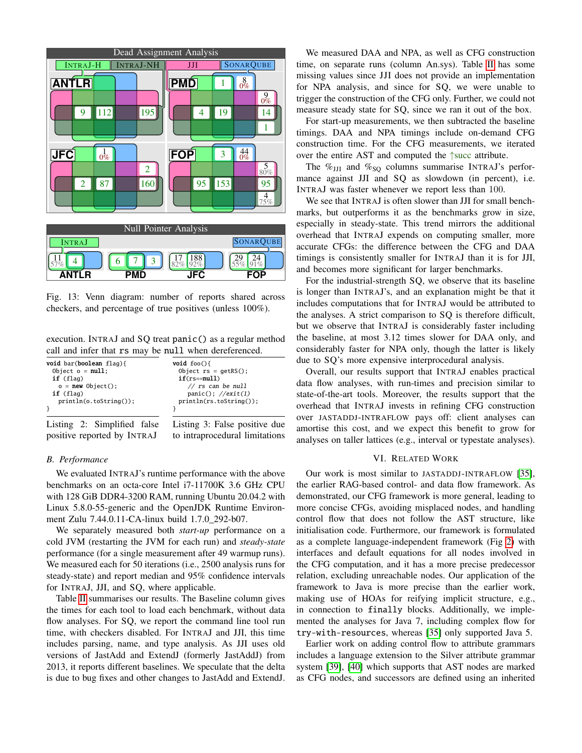<span id="page-8-1"></span>

Fig. 13: Venn diagram: number of reports shared across checkers, and percentage of true positives (unless 100%).

execution. INTRAJ and SQ treat panic() as a regular method call and infer that rs may be null when dereferenced.

<span id="page-8-2"></span>

| void bar(boolean flag){     | void $foo()$                  |  |  |  |  |  |
|-----------------------------|-------------------------------|--|--|--|--|--|
| Object $o = null$ ;         | Object $rs = qetRS()$ ;       |  |  |  |  |  |
| $if$ (flag)                 | $if(rs=mul1)$                 |  |  |  |  |  |
| $o = new Object():$         | $//$ rs can be null           |  |  |  |  |  |
| $if$ (flag)                 | $panic(): \textit{//exit(1)}$ |  |  |  |  |  |
| $printh(0. to String())$ ;  | $printh(ns.toString())$ ;     |  |  |  |  |  |
| Listing 2: Simplified false | Listing 3: False positive due |  |  |  |  |  |

Listing  $2:$  Simplif positive reported by INTRAJ to intraprocedural limitations

# *B. Performance*

We evaluated INTRAJ's runtime performance with the above benchmarks on an octa-core Intel i7-11700K 3.6 GHz CPU with 128 GiB DDR4-3200 RAM, running Ubuntu 20.04.2 with Linux 5.8.0-55-generic and the OpenJDK Runtime Environment Zulu 7.44.0.11-CA-linux build 1.7.0\_292-b07.

We separately measured both *start-up* performance on a cold JVM (restarting the JVM for each run) and *steady-state* performance (for a single measurement after 49 warmup runs). We measured each for 50 iterations (i.e., 2500 analysis runs for steady-state) and report median and 95% confidence intervals for INTRAJ, JJI, and SQ, where applicable.

Table [II](#page-9-1) summarises our results. The Baseline column gives the times for each tool to load each benchmark, without data flow analyses. For SQ, we report the command line tool run time, with checkers disabled. For INTRAJ and JJI, this time includes parsing, name, and type analysis. As JJI uses old versions of JastAdd and ExtendJ (formerly JastAddJ) from 2013, it reports different baselines. We speculate that the delta is due to bug fixes and other changes to JastAdd and ExtendJ.

We measured DAA and NPA, as well as CFG construction time, on separate runs (column An.sys). Table [II](#page-9-1) has some missing values since JJI does not provide an implementation for NPA analysis, and since for SQ, we were unable to trigger the construction of the CFG only. Further, we could not measure steady state for SQ, since we ran it out of the box.

For start-up measurements, we then subtracted the baseline timings. DAA and NPA timings include on-demand CFG construction time. For the CFG measurements, we iterated over the entire AST and computed the ↑succ attribute.

The  $\%_{\text{JJI}}$  and  $\%_{\text{SQ}}$  columns summarise INTRAJ's performance against JJI and SQ as slowdown (in percent), i.e. INTRAJ was faster whenever we report less than 100.

We see that INTRAJ is often slower than JJI for small benchmarks, but outperforms it as the benchmarks grow in size, especially in steady-state. This trend mirrors the additional overhead that INTRAJ expends on computing smaller, more accurate CFGs: the difference between the CFG and DAA timings is consistently smaller for INTRAJ than it is for JJI, and becomes more significant for larger benchmarks.

For the industrial-strength SQ, we observe that its baseline is longer than INTRAJ's, and an explanation might be that it includes computations that for INTRAJ would be attributed to the analyses. A strict comparison to SQ is therefore difficult, but we observe that INTRAJ is considerably faster including the baseline, at most 3.12 times slower for DAA only, and considerably faster for NPA only, though the latter is likely due to SQ's more expensive interprocedural analysis.

<span id="page-8-3"></span>Overall, our results support that INTRAJ enables practical data flow analyses, with run-times and precision similar to state-of-the-art tools. Moreover, the results support that the overhead that INTRAJ invests in refining CFG construction over JASTADDJ-INTRAFLOW pays off: client analyses can amortise this cost, and we expect this benefit to grow for analyses on taller lattices (e.g., interval or typestate analyses).

## VI. RELATED WORK

<span id="page-8-0"></span>Our work is most similar to JASTADDJ-INTRAFLOW [\[35\]](#page-10-3), the earlier RAG-based control- and data flow framework. As demonstrated, our CFG framework is more general, leading to more concise CFGs, avoiding misplaced nodes, and handling control flow that does not follow the AST structure, like initialisation code. Furthermore, our framework is formulated as a complete language-independent framework (Fig [2\)](#page-2-0) with interfaces and default equations for all nodes involved in the CFG computation, and it has a more precise predecessor relation, excluding unreachable nodes. Our application of the framework to Java is more precise than the earlier work, making use of HOAs for reifying implicit structure, e.g., in connection to finally blocks. Additionally, we implemented the analyses for Java 7, including complex flow for try-with-resources, whereas [\[35\]](#page-10-3) only supported Java 5.

Earlier work on adding control flow to attribute grammars includes a language extension to the Silver attribute grammar system [\[39\]](#page-10-21), [\[40\]](#page-10-22) which supports that AST nodes are marked as CFG nodes, and successors are defined using an inherited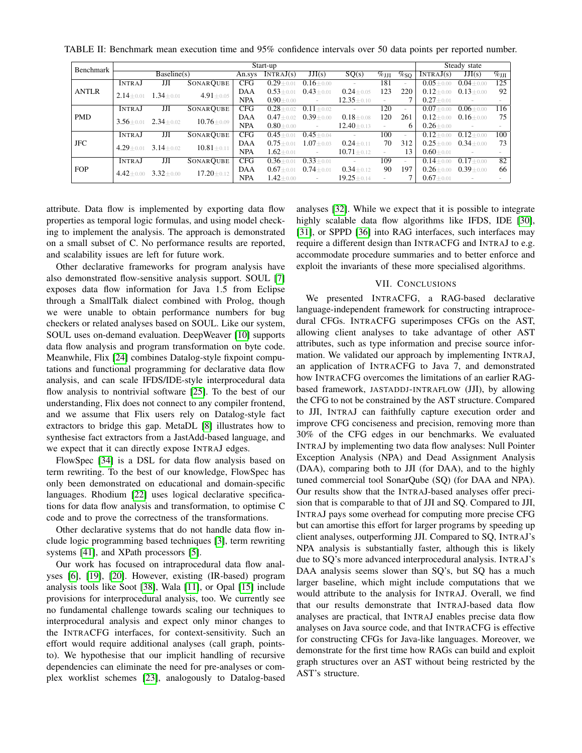| Benchmark    | Start-up                         |                       |                  |                 |                 |                 |                     | Steady state |               |                 |                 |        |
|--------------|----------------------------------|-----------------------|------------------|-----------------|-----------------|-----------------|---------------------|--------------|---------------|-----------------|-----------------|--------|
|              | Baseline(s)                      |                       | An.sys           | INTRAJ(s)       | JJI(s)          | SO(s)           | $\%_{\mathrm{JJI}}$ | $\%$ so      | INTRAJ(s)     | JJI(s)          | $\%$ JJI        |        |
| <b>ANTLR</b> | <b>INTRAJ</b>                    | JЛ                    | <b>SONARQUBE</b> | <b>CFG</b>      | $0.29 + 0.01$   | $0.16 \pm 0.00$ | $\sim$              | 181          |               | $0.05 + 0.00$   | $0.04 \pm 0.00$ | 125    |
|              | $1.34 + 0.01$<br>$2.14 + 0.01$   |                       | $4.91 + 0.05$    | DAA             | $0.53 + 0.01$   | $0.43 \pm 0.01$ | $0.24 \pm 0.05$     | 123          | 220           | $0.12 + 0.00$   | $0.13 + 0.00$   | 92     |
|              |                                  |                       |                  | <b>NPA</b>      | $0.90 \pm 0.00$ | $\sim$          | $12.35 + 0.10$      |              |               | $0.27 \pm 0.01$ |                 | $\sim$ |
| <b>PMD</b>   | <b>INTRAJ</b>                    | JJI                   | <b>SONARQUBE</b> | <b>CFG</b>      | $0.28 + 0.02$   | $0.11 \pm 0.02$ |                     | 120          |               | $0.07 + 0.00$   | $0.06 + 0.00$   | 116    |
|              | $2.34 + 0.02$<br>$3.56 + 0.01$   |                       | $10.76 + 0.09$   | DAA             | $0.47 + 0.02$   | $0.39 \pm 0.00$ | $0.18 + 0.08$       | 120          | 261           | $0.12 + 0.00$   | $0.16 \pm 0.00$ | 75     |
|              |                                  |                       |                  | <b>NPA</b>      | $0.80 + 0.00$   | $\sim$          | $12.40 + 0.13$      | $\sim$       | 6             | $0.26 + 0.00$   |                 |        |
| JFC          | <b>INTRAJ</b>                    | JJI                   | <b>SONARQUBE</b> | CFG             | $0.45 + 0.01$   | $0.45 \pm 0.04$ |                     | 100          |               | $0.12 + 0.00$   | $0.12 + 0.00$   | 100    |
|              | $3.14 \pm 0.02$<br>$4.29 + 0.01$ | $10.81 + 0.11$        | DAA              | $0.75 + 0.01$   | $1.07 + 0.03$   | $0.24 \pm 0.11$ | 70                  | 312          | $0.25 + 0.00$ | $0.34 + 0.00$   | 73              |        |
|              |                                  |                       |                  | <b>NPA</b>      | $1.62 + 0.01$   |                 | $10.71 + 0.12$      | $\sim$       | 13            | $0.60 + 0.01$   |                 | $\sim$ |
| <b>FOP</b>   | <b>INTRAJ</b>                    | JJI                   | <b>SONARQUBE</b> | CFG             | $0.36 + 0.01$   | $0.33 + 0.01$   |                     | 109          |               | $0.14 + 0.00$   | $0.17 + 0.00$   | 82     |
|              | $3.32 \pm 0.00$<br>$4.42 + 0.00$ | DAA<br>$17.20 + 0.12$ |                  | $0.67 \pm 0.01$ | $0.74 \pm 0.01$ | $0.34 \pm 0.12$ | 90                  | 197          | $0.26 + 0.00$ | $0.39 + 0.00$   | 66              |        |
|              |                                  |                       |                  | <b>NPA</b>      | $1.42 + 0.00$   | $\sim$          | $19.25 + 0.14$      |              |               | $0.67 \pm 0.01$ |                 |        |

<span id="page-9-1"></span>TABLE II: Benchmark mean execution time and 95% confidence intervals over 50 data points per reported number.

attribute. Data flow is implemented by exporting data flow properties as temporal logic formulas, and using model checking to implement the analysis. The approach is demonstrated on a small subset of C. No performance results are reported, and scalability issues are left for future work.

Other declarative frameworks for program analysis have also demonstrated flow-sensitive analysis support. SOUL [\[7\]](#page-10-23) exposes data flow information for Java 1.5 from Eclipse through a SmallTalk dialect combined with Prolog, though we were unable to obtain performance numbers for bug checkers or related analyses based on SOUL. Like our system, SOUL uses on-demand evaluation. DeepWeaver [\[10\]](#page-10-24) supports data flow analysis and program transformation on byte code. Meanwhile, Flix [\[24\]](#page-10-25) combines Datalog-style fixpoint computations and functional programming for declarative data flow analysis, and can scale IFDS/IDE-style interprocedural data flow analysis to nontrivial software [\[25\]](#page-10-26). To the best of our understanding, Flix does not connect to any compiler frontend, and we assume that Flix users rely on Datalog-style fact extractors to bridge this gap. MetaDL [\[8\]](#page-10-27) illustrates how to synthesise fact extractors from a JastAdd-based language, and we expect that it can directly expose INTRAJ edges.

FlowSpec [\[34\]](#page-10-28) is a DSL for data flow analysis based on term rewriting. To the best of our knowledge, FlowSpec has only been demonstrated on educational and domain-specific languages. Rhodium [\[22\]](#page-10-29) uses logical declarative specifications for data flow analysis and transformation, to optimise C code and to prove the correctness of the transformations.

Other declarative systems that do not handle data flow include logic programming based techniques [\[3\]](#page-10-30), term rewriting systems [\[41\]](#page-10-31), and XPath processors [\[5\]](#page-10-32).

Our work has focused on intraprocedural data flow analyses [\[6\]](#page-10-18), [\[19\]](#page-10-33), [\[20\]](#page-10-34). However, existing (IR-based) program analysis tools like Soot [\[38\]](#page-10-35), Wala [\[11\]](#page-10-36), or Opal [\[15\]](#page-10-12) include provisions for interprocedural analysis, too. We currently see no fundamental challenge towards scaling our techniques to interprocedural analysis and expect only minor changes to the INTRACFG interfaces, for context-sensitivity. Such an effort would require additional analyses (call graph, pointsto). We hypothesise that our implicit handling of recursive dependencies can eliminate the need for pre-analyses or complex worklist schemes [\[23\]](#page-10-37), analogously to Datalog-based analyses [\[32\]](#page-10-38). While we expect that it is possible to integrate highly scalable data flow algorithms like IFDS, IDE [\[30\]](#page-10-39), [\[31\]](#page-10-40), or SPPD [\[36\]](#page-10-41) into RAG interfaces, such interfaces may require a different design than INTRACFG and INTRAJ to e.g. accommodate procedure summaries and to better enforce and exploit the invariants of these more specialised algorithms.

## VII. CONCLUSIONS

<span id="page-9-0"></span>We presented INTRACFG, a RAG-based declarative language-independent framework for constructing intraprocedural CFGs. INTRACFG superimposes CFGs on the AST, allowing client analyses to take advantage of other AST attributes, such as type information and precise source information. We validated our approach by implementing INTRAJ, an application of INTRACFG to Java 7, and demonstrated how INTRACFG overcomes the limitations of an earlier RAGbased framework, JASTADDJ-INTRAFLOW (JJI), by allowing the CFG to not be constrained by the AST structure. Compared to JJI, INTRAJ can faithfully capture execution order and improve CFG conciseness and precision, removing more than 30% of the CFG edges in our benchmarks. We evaluated INTRAJ by implementing two data flow analyses: Null Pointer Exception Analysis (NPA) and Dead Assignment Analysis (DAA), comparing both to JJI (for DAA), and to the highly tuned commercial tool SonarQube (SQ) (for DAA and NPA). Our results show that the INTRAJ-based analyses offer precision that is comparable to that of JJI and SQ. Compared to JJI, INTRAJ pays some overhead for computing more precise CFG but can amortise this effort for larger programs by speeding up client analyses, outperforming JJI. Compared to SQ, INTRAJ's NPA analysis is substantially faster, although this is likely due to SQ's more advanced interprocedural analysis. INTRAJ's DAA analysis seems slower than SQ's, but SQ has a much larger baseline, which might include computations that we would attribute to the analysis for INTRAJ. Overall, we find that our results demonstrate that INTRAJ-based data flow analyses are practical, that INTRAJ enables precise data flow analyses on Java source code, and that INTRACFG is effective for constructing CFGs for Java-like languages. Moreover, we demonstrate for the first time how RAGs can build and exploit graph structures over an AST without being restricted by the AST's structure.